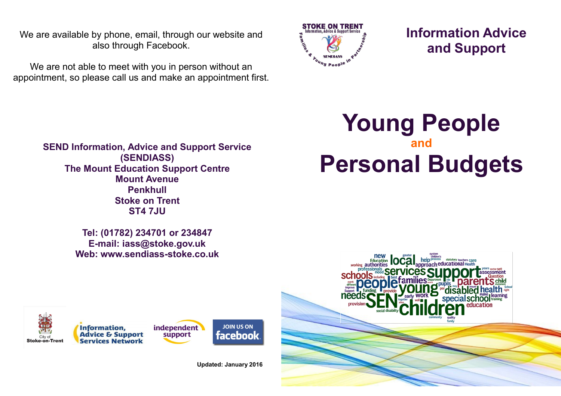We are available by phone, email, through our website and also through Facebook.

We are not able to meet with you in person without an appointment, so please call us and make an appointment first.



**Information Advice and Support**

**SEND Information, Advice and Support Service (SENDIASS) The Mount Education Support Centre Mount Avenue Penkhull Stoke on Trent ST4 7JU**

> **Tel: (01782) 234701 or 234847 E-mail: iass@stoke.gov.uk Web: www.sendiass-stoke.co.uk**

## **Young People and Personal Budgets**







**Updated: January 2016**